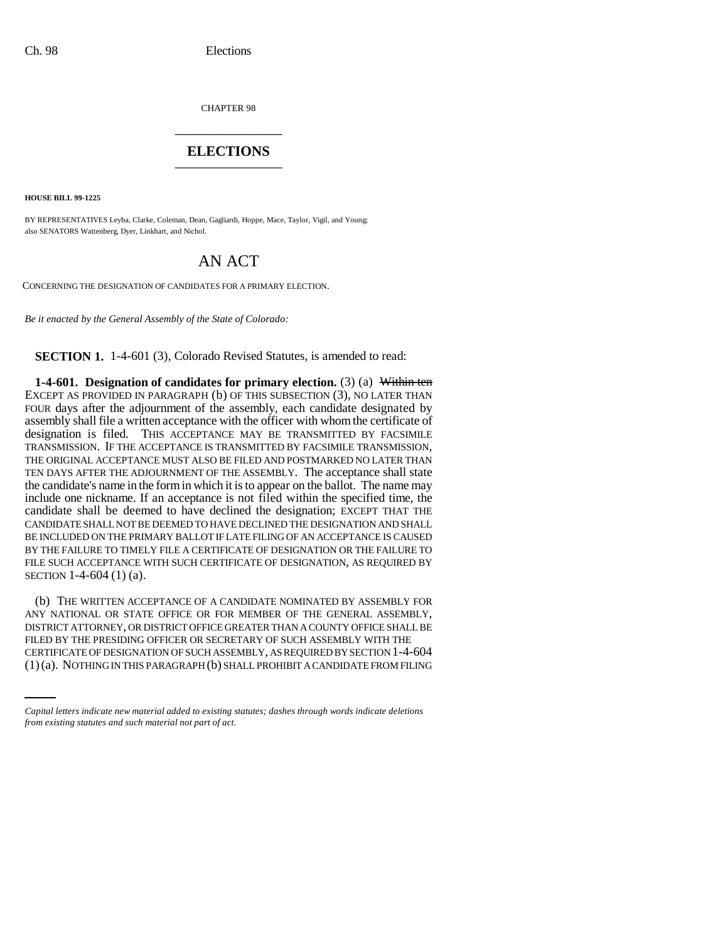CHAPTER 98 \_\_\_\_\_\_\_\_\_\_\_\_\_\_\_

## **ELECTIONS** \_\_\_\_\_\_\_\_\_\_\_\_\_\_\_

**HOUSE BILL 99-1225** 

BY REPRESENTATIVES Leyba, Clarke, Coleman, Dean, Gagliardi, Hoppe, Mace, Taylor, Vigil, and Young; also SENATORS Wattenberg, Dyer, Linkhart, and Nichol.

# AN ACT

CONCERNING THE DESIGNATION OF CANDIDATES FOR A PRIMARY ELECTION.

*Be it enacted by the General Assembly of the State of Colorado:*

**SECTION 1.** 1-4-601 (3), Colorado Revised Statutes, is amended to read:

**1-4-601. Designation of candidates for primary election.** (3) (a) Within ten EXCEPT AS PROVIDED IN PARAGRAPH (b) OF THIS SUBSECTION (3), NO LATER THAN FOUR days after the adjournment of the assembly, each candidate designated by assembly shall file a written acceptance with the officer with whom the certificate of designation is filed. THIS ACCEPTANCE MAY BE TRANSMITTED BY FACSIMILE TRANSMISSION. IF THE ACCEPTANCE IS TRANSMITTED BY FACSIMILE TRANSMISSION, THE ORIGINAL ACCEPTANCE MUST ALSO BE FILED AND POSTMARKED NO LATER THAN TEN DAYS AFTER THE ADJOURNMENT OF THE ASSEMBLY. The acceptance shall state the candidate's name in the form in which it is to appear on the ballot. The name may include one nickname. If an acceptance is not filed within the specified time, the candidate shall be deemed to have declined the designation; EXCEPT THAT THE CANDIDATE SHALL NOT BE DEEMED TO HAVE DECLINED THE DESIGNATION AND SHALL BE INCLUDED ON THE PRIMARY BALLOT IF LATE FILING OF AN ACCEPTANCE IS CAUSED BY THE FAILURE TO TIMELY FILE A CERTIFICATE OF DESIGNATION OR THE FAILURE TO FILE SUCH ACCEPTANCE WITH SUCH CERTIFICATE OF DESIGNATION, AS REQUIRED BY SECTION 1-4-604 (1) (a).

FILED BY THE PRESIDING OFFICER OR SECRETARY OF SUCH ASSEMBLY WITH THE (b) THE WRITTEN ACCEPTANCE OF A CANDIDATE NOMINATED BY ASSEMBLY FOR ANY NATIONAL OR STATE OFFICE OR FOR MEMBER OF THE GENERAL ASSEMBLY, DISTRICT ATTORNEY, OR DISTRICT OFFICE GREATER THAN A COUNTY OFFICE SHALL BE CERTIFICATE OF DESIGNATION OF SUCH ASSEMBLY, AS REQUIRED BY SECTION 1-4-604 (1)(a). NOTHING IN THIS PARAGRAPH (b) SHALL PROHIBIT A CANDIDATE FROM FILING

*Capital letters indicate new material added to existing statutes; dashes through words indicate deletions from existing statutes and such material not part of act.*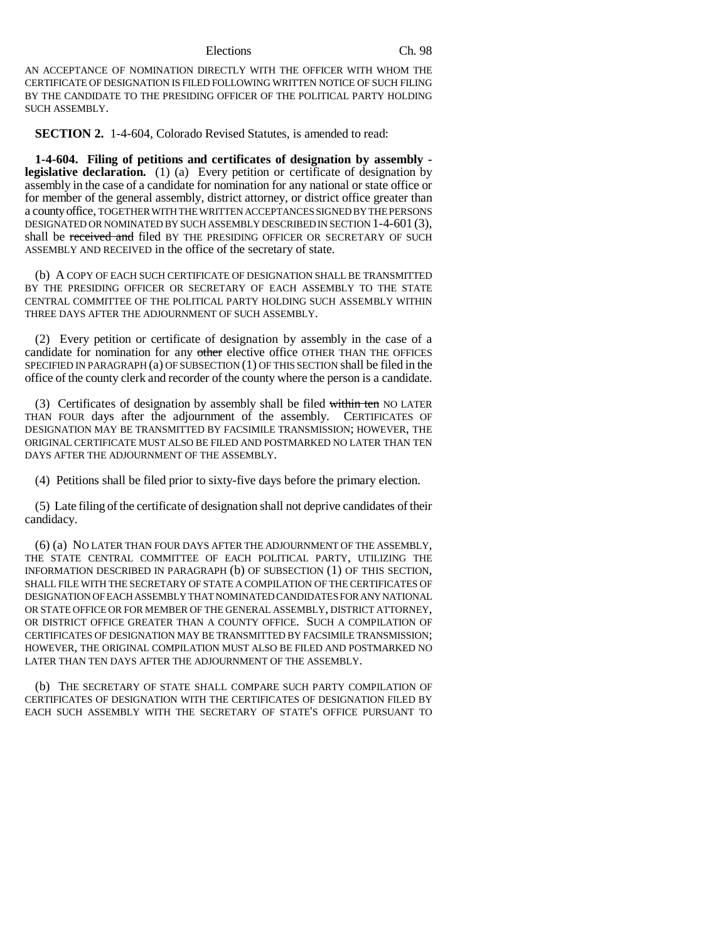### Elections Ch. 98

AN ACCEPTANCE OF NOMINATION DIRECTLY WITH THE OFFICER WITH WHOM THE CERTIFICATE OF DESIGNATION IS FILED FOLLOWING WRITTEN NOTICE OF SUCH FILING BY THE CANDIDATE TO THE PRESIDING OFFICER OF THE POLITICAL PARTY HOLDING SUCH ASSEMBLY.

**SECTION 2.** 1-4-604, Colorado Revised Statutes, is amended to read:

**1-4-604. Filing of petitions and certificates of designation by assembly legislative declaration.** (1) (a) Every petition or certificate of designation by assembly in the case of a candidate for nomination for any national or state office or for member of the general assembly, district attorney, or district office greater than a county office, TOGETHER WITH THE WRITTEN ACCEPTANCES SIGNED BY THE PERSONS DESIGNATED OR NOMINATED BY SUCH ASSEMBLY DESCRIBED IN SECTION 1-4-601 (3), shall be received and filed BY THE PRESIDING OFFICER OR SECRETARY OF SUCH ASSEMBLY AND RECEIVED in the office of the secretary of state.

(b) A COPY OF EACH SUCH CERTIFICATE OF DESIGNATION SHALL BE TRANSMITTED BY THE PRESIDING OFFICER OR SECRETARY OF EACH ASSEMBLY TO THE STATE CENTRAL COMMITTEE OF THE POLITICAL PARTY HOLDING SUCH ASSEMBLY WITHIN THREE DAYS AFTER THE ADJOURNMENT OF SUCH ASSEMBLY.

(2) Every petition or certificate of designation by assembly in the case of a candidate for nomination for any other elective office OTHER THAN THE OFFICES SPECIFIED IN PARAGRAPH (a) OF SUBSECTION (1) OF THIS SECTION shall be filed in the office of the county clerk and recorder of the county where the person is a candidate.

(3) Certificates of designation by assembly shall be filed within ten NO LATER THAN FOUR days after the adjournment of the assembly. CERTIFICATES OF DESIGNATION MAY BE TRANSMITTED BY FACSIMILE TRANSMISSION; HOWEVER, THE ORIGINAL CERTIFICATE MUST ALSO BE FILED AND POSTMARKED NO LATER THAN TEN DAYS AFTER THE ADJOURNMENT OF THE ASSEMBLY.

(4) Petitions shall be filed prior to sixty-five days before the primary election.

(5) Late filing of the certificate of designation shall not deprive candidates of their candidacy.

(6) (a) NO LATER THAN FOUR DAYS AFTER THE ADJOURNMENT OF THE ASSEMBLY, THE STATE CENTRAL COMMITTEE OF EACH POLITICAL PARTY, UTILIZING THE INFORMATION DESCRIBED IN PARAGRAPH (b) OF SUBSECTION (1) OF THIS SECTION, SHALL FILE WITH THE SECRETARY OF STATE A COMPILATION OF THE CERTIFICATES OF DESIGNATION OF EACH ASSEMBLY THAT NOMINATED CANDIDATES FOR ANY NATIONAL OR STATE OFFICE OR FOR MEMBER OF THE GENERAL ASSEMBLY, DISTRICT ATTORNEY, OR DISTRICT OFFICE GREATER THAN A COUNTY OFFICE. SUCH A COMPILATION OF CERTIFICATES OF DESIGNATION MAY BE TRANSMITTED BY FACSIMILE TRANSMISSION; HOWEVER, THE ORIGINAL COMPILATION MUST ALSO BE FILED AND POSTMARKED NO LATER THAN TEN DAYS AFTER THE ADJOURNMENT OF THE ASSEMBLY.

(b) THE SECRETARY OF STATE SHALL COMPARE SUCH PARTY COMPILATION OF CERTIFICATES OF DESIGNATION WITH THE CERTIFICATES OF DESIGNATION FILED BY EACH SUCH ASSEMBLY WITH THE SECRETARY OF STATE'S OFFICE PURSUANT TO